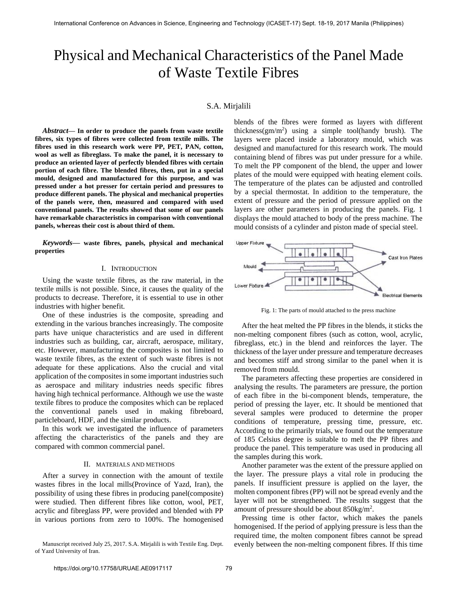# Physical and Mechanical Characteristics of the Panel Made of Waste Textile Fibres

# S.A. Mirjalili

*Abstract***— In order to produce the panels from waste textile fibres, six types of fibres were collected from textile mills. The fibres used in this research work were PP, PET, PAN, cotton, wool as well as fibreglass. To make the panel, it is necessary to produce an oriented layer of perfectly blended fibres with certain portion of each fibre. The blended fibres, then, put in a special mould, designed and manufactured for this purpose, and was pressed under a hot presser for certain period and pressures to produce different panels. The physical and mechanical properties of the panels were, then, measured and compared with used conventional panels. The results showed that some of our panels have remarkable characteristics in comparison with conventional panels, whereas their cost is about third of them.**

*Keywords***— waste fibres, panels, physical and mechanical properties**

# I. INTRODUCTION

Using the waste textile fibres, as the raw material, in the textile mills is not possible. Since, it causes the quality of the products to decrease. Therefore, it is essential to use in other industries with higher benefit.

One of these industries is the composite, spreading and extending in the various branches increasingly. The composite parts have unique characteristics and are used in different industries such as building, car, aircraft, aerospace, military, etc. However, manufacturing the composites is not limited to waste textile fibres, as the extent of such waste fibres is not adequate for these applications. Also the crucial and vital application of the composites in some important industries such as aerospace and military industries needs specific fibres having high technical performance. Although we use the waste textile fibres to produce the composites which can be replaced the conventional panels used in making fibreboard, particleboard, HDF, and the similar products.

In this work we investigated the influence of parameters affecting the characteristics of the panels and they are compared with common commercial panel.

# II. MATERIALS AND METHODS

After a survey in connection with the amount of textile wastes fibres in the local mills(Province of Yazd, Iran), the possibility of using these fibres in producing panel(composite) were studied. Then different fibres like cotton, wool, PET, acrylic and fibreglass PP, were provided and blended with PP in various portions from zero to 100%. The homogenised blends of the fibres were formed as layers with different thickness( $gm/m<sup>2</sup>$ ) using a simple tool(handy brush). The layers were placed inside a laboratory mould, which was designed and manufactured for this research work. The mould containing blend of fibres was put under pressure for a while. To melt the PP component of the blend, the upper and lower plates of the mould were equipped with heating element coils. The temperature of the plates can be adjusted and controlled by a special thermostat. In addition to the temperature, the extent of pressure and the period of pressure applied on the layers are other parameters in producing the panels. Fig. 1 displays the mould attached to body of the press machine. The mould consists of a cylinder and piston made of special steel.



Fig. 1: The parts of mould attached to the press machine

After the heat melted the PP fibres in the blends, it sticks the non-melting component fibres (such as cotton, wool, acrylic, fibreglass, etc.) in the blend and reinforces the layer. The thickness of the layer under pressure and temperature decreases and becomes stiff and strong similar to the panel when it is removed from mould.

The parameters affecting these properties are considered in analysing the results. The parameters are pressure, the portion of each fibre in the bi-component blends, temperature, the period of pressing the layer, etc. It should be mentioned that several samples were produced to determine the proper conditions of temperature, pressing time, pressure, etc. According to the primarily trials, we found out the temperature of 185 Celsius degree is suitable to melt the PP fibres and produce the panel. This temperature was used in producing all the samples during this work.

Another parameter was the extent of the pressure applied on the layer. The pressure plays a vital role in producing the panels. If insufficient pressure is applied on the layer, the molten component fibres (PP) will not be spread evenly and the layer will not be strengthened. The results suggest that the amount of pressure should be about  $850 \text{kg/m}^2$ .

Pressing time is other factor, which makes the panels homogenised. If the period of applying pressure is less than the required time, the molten component fibres cannot be spread evenly between the non-melting component fibres. If this time

Manuscript received July 25, 2017. S.A. Mirjalili is with Textile Eng. Dept. of Yazd University of Iran.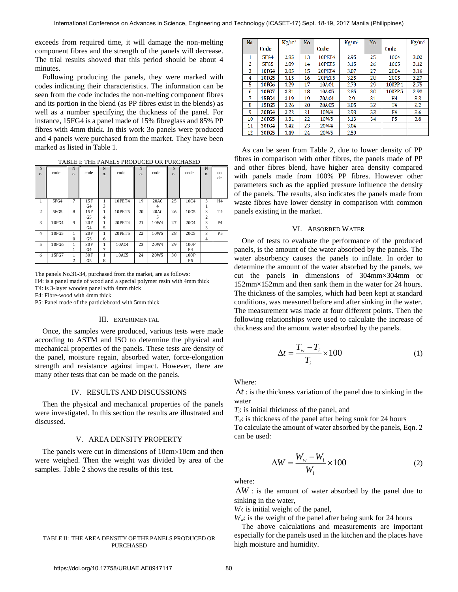exceeds from required time, it will damage the non-melting component fibres and the strength of the panels will decrease. The trial results showed that this period should be about 4 minutes.

Following producing the panels, they were marked with codes indicating their characteristics. The information can be seen from the code includes the non-melting component fibres and its portion in the blend (as PP fibres exist in the blends) as well as a number specifying the thickness of the panel. For instance, 15FG4 is a panel made of 15% fibreglass and 85% PP fibres with 4mm thick. In this work 3o panels were produced and 4 panels were purchased from the market. They have been marked as listed in Table 1.

|  |  |  |  | TABLE I: THE PANELS PRODUCED OR PURCHASED |
|--|--|--|--|-------------------------------------------|
|--|--|--|--|-------------------------------------------|

| N<br>0. | code  | N<br>0.                  | code      | N<br>0.           | code   | N<br>0. | code             | N<br>0. | code                   | N<br>0. | $_{\rm co}$<br>de |
|---------|-------|--------------------------|-----------|-------------------|--------|---------|------------------|---------|------------------------|---------|-------------------|
| 1       | 5FG4  | 7                        | 15F<br>G4 | 1<br>3            | 10PET4 | 19      | 20AC<br>4        | 25      | 10C4                   | 3<br>1  | H <sub>4</sub>    |
| 2       | 5FG5  | 8                        | 15F<br>G5 | 1<br>4            | 10PET5 | 20      | 20AC<br>5        | 26      | 10C5                   | 3<br>2  | T <sub>4</sub>    |
| 3       | 10FG4 | 9                        | 20F<br>G4 | $\mathbf{1}$<br>5 | 20PET4 | 21      | 10W4             | 27      | 20 <sub>C4</sub>       | 3<br>3  | F4                |
| 4       | 10FG5 | $\mathbf{1}$<br>$\Omega$ | 20F<br>G5 | 1<br>6            | 20PET5 | 22      | 10W5             | 28      | 20C5                   | 3<br>4  | P5                |
| 5       | 10FG6 | $\mathbf{1}$<br>1        | 30F<br>G4 | 1<br>7            | 10AC4  | 23      | 20W4             | 29      | 100P<br>P4             |         |                   |
| 6       | 15FG7 | $\mathbf{1}$<br>2        | 30F<br>G5 | $\mathbf{1}$<br>8 | 10AC5  | 24      | 20W <sub>5</sub> | 30      | 100P<br>P <sub>5</sub> |         |                   |

The panels No.31-34, purchased from the market, are as follows: H4: is a panel made of wood and a special polymer resin with 4mm thick T4: is 3-layer wooden panel with 4mm thick

F4: Fibre-wood with 4mm thick

P5: Panel made of the particleboard with 5mm thick

# III. EXPERIMENTAL

Once, the samples were produced, various tests were made according to ASTM and ISO to determine the physical and mechanical properties of the panels. These tests are density of the panel, moisture regain, absorbed water, force-elongation strength and resistance against impact. However, there are many other tests that can be made on the panels.

#### IV. RESULTS AND DISCUSSIONS

Then the physical and mechanical properties of the panels were investigated. In this section the results are illustrated and discussed.

# V. AREA DENSITY PROPERTY

The panels were cut in dimensions of  $10 \text{cm} \times 10 \text{cm}$  and then were weighed. Then the weight was divided by area of the samples. Table 2 shows the results of this test.

#### TABLE II: THE AREA DENSITY OF THE PANELS PRODUCED OR PURCHASED

| No. |             | $Kg/m^2$ | No. |                  | Kg/m | No. |                | Kg/m' |
|-----|-------------|----------|-----|------------------|------|-----|----------------|-------|
|     | Code        |          |     | Code             |      |     | Code           |       |
| 1   | <b>5FG4</b> | 2.85     | 13  | <b>10PET4</b>    | 2.95 | 25  | 10C4           | 3.02  |
| 2   | <b>SFG5</b> | 2.89     | 14  | <b>10PET5</b>    | 3.15 | 26  | 1005           | 3.12  |
| 3   | 10FG4       | 3.05     | 15  | <b>20PET4</b>    | 3.07 | 27  | 2004           | 3.16  |
| 4   | 10FG5       | 3.15     | 16  | <b>20PET5</b>    | 3.25 | 28  | <b>2005</b>    | 3.27  |
| 5   | 10FC6       | 3.29     | 17  | 10AC4            | 2.79 | 29  | 100PP4         | 2.75  |
| 6   | 10FG7       | 3.31     | 18  | 10AC5            | 2.85 | 30  | 100PP5         | 2.92  |
| 7   | 15FC4       | 3.19     | 19  | 20AC4            | 2.9  | 31  | H <sub>4</sub> | 3.3   |
| 8   | 15FC5       | 3.26     | 20  | 20AC5            | 3.05 | 32  | T <sub>4</sub> | 2.2   |
| 9   | 20FG4       | 3.22     | 21  | 10 <sub>W4</sub> | 2.93 | 33  | F4             | 3.6   |
| 10  | 20FG5       | 3.31     | 22  | 10 <sub>W</sub>  | 3.13 | 34  | P5             | 3.8   |
| 11  | 30FC4       | 3.42     | 23  | 20W4             | 3.04 |     |                |       |
| 12  | 30FC5       | 3.49     | 24  | <b>20W5</b>      | 2.59 |     |                |       |

*(c)* with panels made from 100% PP fibres. However other parameters such as the applied pressure influence the density of the panels. The results, also indicates the panels made from As can be seen from Table 2, due to lower density of PP fibres in comparison with other fibres, the panels made of PP and other fibres blend, have higher area density compared waste fibres have lower density in comparison with common panels existing in the market.

### VI. ABSORBED WATER

One of tests to evaluate the performance of the produced panels, is the amount of the water absorbed by the panels. The water absorbency causes the panels to inflate. In order to determine the amount of the water absorbed by the panels, we cut the panels in dimensions of 304mm×304mm or 152mm×152mm and then sank them in the water for 24 hours. The thickness of the samples, which had been kept at standard conditions, was measured before and after sinking in the water. The measurement was made at four different points. Then the following relationships were used to calculate the increase of thickness and the amount water absorbed by the panels.

$$
\Delta t = \frac{T_w - T_i}{T_i} \times 100\tag{1}
$$

Where:

 $\Delta t$ : is the thickness variation of the panel due to sinking in the water

*Ti*: is initial thickness of the panel, and

 $T_w$ : is thickness of the panel after being sunk for 24 hours

To calculate the amount of water absorbed by the panels, Eqn. 2 can be used:

$$
\Delta W = \frac{W_w - W_i}{W_i} \times 100\tag{2}
$$

where:

 $\Delta W$ : is the amount of water absorbed by the panel due to sinking in the water,

*Wi*: is initial weight of the panel,

*Ww*: is the weight of the panel after being sunk for 24 hours

The above calculations and measurements are important especially for the panels used in the kitchen and the places have high moisture and humidity.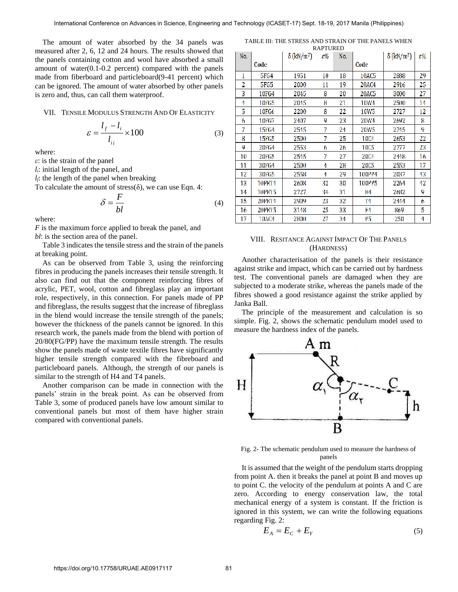The amount of water absorbed by the 34 panels was measured after 2, 6, 12 and 24 hours. The results showed that the panels containing cotton and wool have absorbed a small amount of water(0.1-0.2 percent) compared with the panels made from fiberboard and particleboard(9-41 percent) which can be ignored. The amount of water absorbed by other panels is zero and, thus, can call them waterproof.

# VII. TENSILE MODULUS STRENGTH AND OF ELASTICITY

$$
\varepsilon = \frac{l_f - l_i}{l_{ii}} \times 100\tag{3}
$$

where:

*ε*: is the strain of the panel

*li*: initial length of the panel, and

*lf*: the length of the panel when breaking

To calculate the amount of stress( $\delta$ ), we can use Eqn. 4:

$$
\delta = \frac{F}{bl} \tag{4}
$$

where:

*F* is the maximum force applied to break the panel, and *bl*: is the section area of the panel.

Table 3 indicates the tensile stress and the strain of the panels at breaking point.

As can be observed from Table 3, using the reinforcing fibres in producing the panels increases their tensile strength. It also can find out that the component reinforcing fibres of acrylic, PET, wool, cotton and fibreglass play an important role, respectively, in this connection. For panels made of PP and fibreglass, the results suggest that the increase of fibreglass in the blend would increase the tensile strength of the panels; however the thickness of the panels cannot be ignored. In this research work, the panels made from the blend with portion of 20/80(FG/PP) have the maximum tensile strength. The results show the panels made of waste textile fibres have significantly higher tensile strength compared with the fibreboard and particleboard panels. Although, the strength of our panels is similar to the strength of H4 and T4 panels.

Another comparison can be made in connection with the panels' strain in the break point. As can be observed from Table 3, some of produced panels have low amount similar to conventional panels but most of them have higher strain compared with conventional panels.

TABLE III: THE STRESS AND STRAIN OF THE PANELS WHEN

| <b>RAPTURED</b> |             |                               |    |     |                  |                               |    |  |  |
|-----------------|-------------|-------------------------------|----|-----|------------------|-------------------------------|----|--|--|
| No.             |             | $\delta$ (kN/m <sup>2</sup> ) | ε% | No. |                  | $\delta$ (kN/m <sup>2</sup> ) | ε% |  |  |
|                 | Code        |                               |    |     | Code             |                               |    |  |  |
| 1               | 5FG4        | 1951                          | 10 | 18  | <b>10AC5</b>     | 2888                          | 29 |  |  |
| 2               | <b>5FG5</b> | 2000                          | 11 | 19  | <b>20AC4</b>     | 2916                          | 25 |  |  |
| 3               | 10FG4       | 2045                          | 8  | 20  | <b>20AC5</b>     | 3000                          | 27 |  |  |
| 4               | 10FG5       | 2045                          | 8  | 21  | <b>10W4</b>      | 2500                          | 14 |  |  |
| 5               | 10FG6       | 2200                          | 8  | 22  | 10W <sub>5</sub> | 2727                          | 12 |  |  |
| 6               | 10FG7       | 2407                          | ų  | 23  | 20W4             | 2692                          | 8  |  |  |
| 7               | 15FG4       | 2545                          | 7  | 24  | 20W5             | 2745                          | g  |  |  |
| 8               | 15FG5       | 2500                          | 7  | 25  | 1004             | 2653                          | 22 |  |  |
| 9               | 20FG4       | 2553                          | 6  | 26  | 1005             | 2777                          | 23 |  |  |
| 10              | 20FG5       | 2545                          | 7  | 27  | 2004             | 2448                          | 16 |  |  |
| 11              | 30FG4       | 2500                          | 4  | 28  | 2005             | 2553                          | 17 |  |  |
| 12              | 30FG5       | 2558                          | 4  | 29  | <b>100PP4</b>    | 2037                          | 43 |  |  |
| 13              | 10PET4      | 2608                          | 32 | 30  | <b>100PP5</b>    | 2264                          | 42 |  |  |
| 14              | 10PET5      | 2727                          | 34 | 31  | Η4               | 2682                          | 9  |  |  |
| 15              | 20PET4      | 2909                          | 23 | 32  | Τ4               | 2444                          | 6  |  |  |
| 16              | 20PET5      | 3148                          | 25 | 33  | F4               | 869                           | 5  |  |  |
| 17              | 10AC4       | 2800                          | 27 | 34  | ۲5               | 250                           | 4  |  |  |

# VIII. RESITANCE AGAINST IMPACT OF THE PANELS (HARDNESS)

Another characterisation of the panels is their resistance against strike and impact, which can be carried out by hardness test. The conventional panels are damaged when they are subjected to a moderate strike, whereas the panels made of the fibres showed a good resistance against the strike applied by Janka Ball.

The principle of the measurement and calculation is so simple. Fig. 2, shows the schematic pendulum model used to measure the hardness index of the panels.



Fig. 2- The schematic pendulum used to measure the hardness of panels

It is assumed that the weight of the pendulum starts dropping from point A. then it breaks the panel at point B and moves up to point C. the velocity of the pendulum at points A and C are zero. According to energy conservation law, the total mechanical energy of a system is constant. If the friction is ignored in this system, we can write the following equations regarding Fig. 2:

$$
E_A = E_C + E_Y \tag{5}
$$